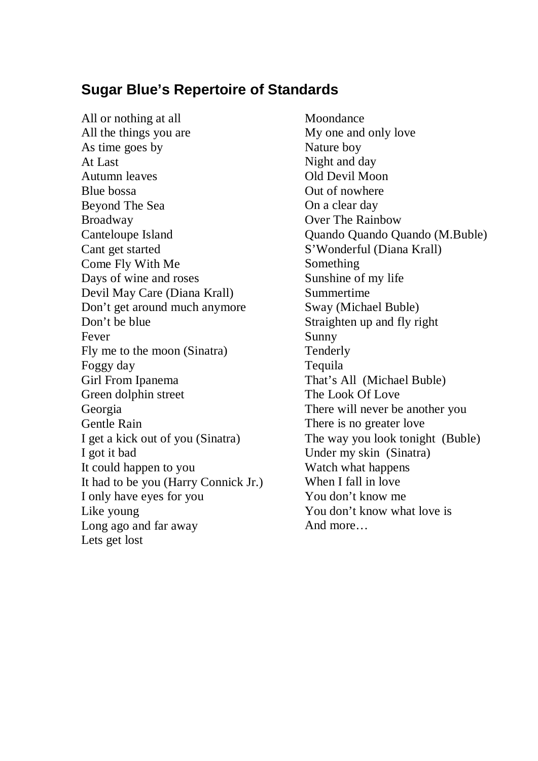## **Sugar Blue's Repertoire of Standards**

All or nothing at all All the things you are As time goes by At Last Autumn leaves Blue bossa Beyond The Sea Broadway Canteloupe Island Cant get started Come Fly With Me Days of wine and roses Devil May Care (Diana Krall) Don't get around much anymore Don't be blue Fever Fly me to the moon (Sinatra) Foggy day Girl From Ipanema Green dolphin street Georgia Gentle Rain I get a kick out of you (Sinatra) I got it bad It could happen to you It had to be you (Harry Connick Jr.) I only have eyes for you Like young Long ago and far away Lets get lost

Moondance My one and only love Nature boy Night and day Old Devil Moon Out of nowhere On a clear day Over The Rainbow Quando Quando Quando (M.Buble) S'Wonderful (Diana Krall) Something Sunshine of my life Summertime Sway (Michael Buble) Straighten up and fly right Sunny Tenderly Tequila That's All (Michael Buble) The Look Of Love There will never be another you There is no greater love The way you look tonight (Buble) Under my skin (Sinatra) Watch what happens When I fall in love You don't know me You don't know what love is And more…